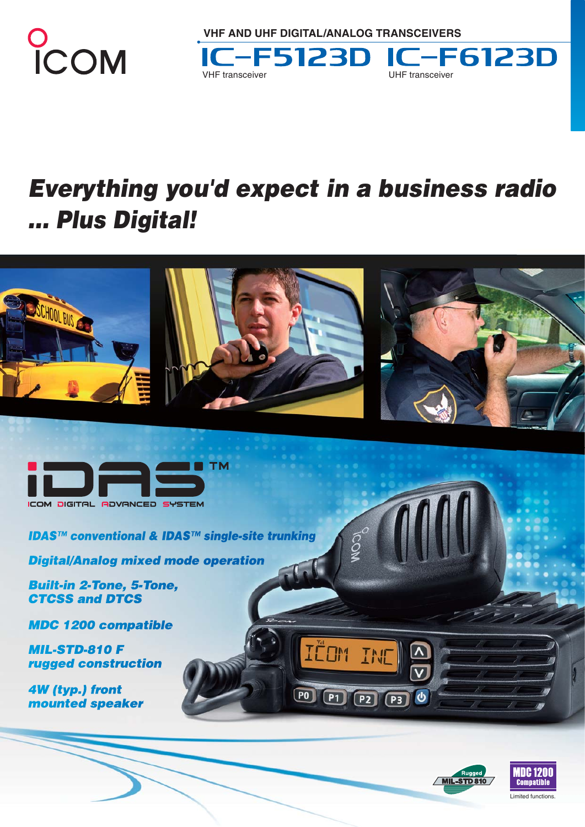

**VHF AND UHF DIGITAL/ANALOG TRANSCEIVERS** 



# *Everything you'd expect in a business radio ... Plus Digital!*





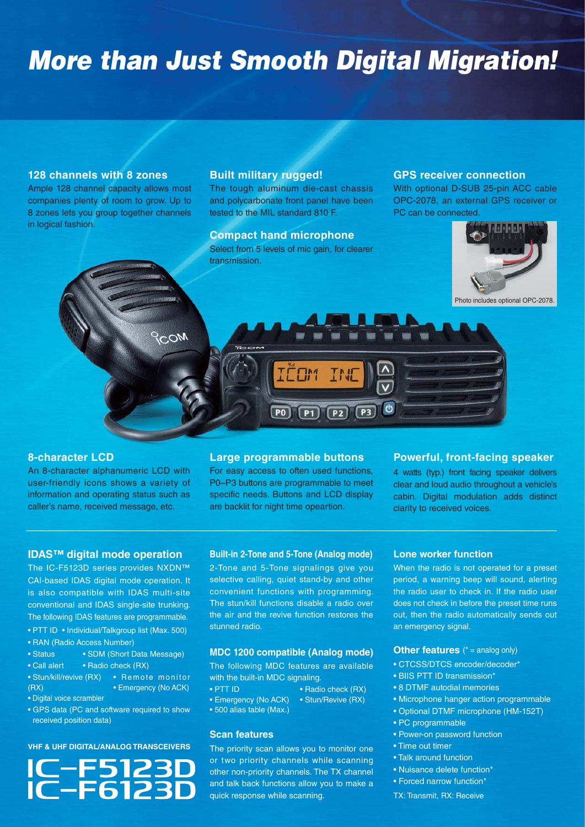# *More than Just Smooth Digital Migration!*

#### **128 channels with 8 zones**

Ample 128 channel capacity allows most companies plenty of room to grow. Up to 8 zones lets you group together channels in logical fashion.

 $MON$ 

#### **Built military rugged!**

The tough aluminum die-cast chassis and polycarbonate front panel have been tested to the MIL standard 810 F.

**Compact hand microphone** Select from 5 levels of mic gain, for clearer transmission.

#### **GPS receiver connection**

With optional D-SUB 25-pin ACC cable OPC-2078, an external GPS receiver or PC can be connected.



Photo includes optional OPC-2078.

#### **8-character LCD**

An 8-character alphanumeric LCD with user-friendly icons shows a variety of information and operating status such as caller's name, received message, etc.

#### **Large programmable buttons** For easy access to often used functions,

 $P<sub>0</sub>$ 

 $P1$ 

P0–P3 buttons are programmable to meet specific needs. Buttons and LCD display are backlit for night time opeartion.

 $P2$   $P3$ 

### **Powerful, front-facing speaker**

4 watts (typ.) front facing speaker delivers clear and loud audio throughout a vehicle's cabin. Digital modulation adds distinct clarity to received voices.

#### **IDAS™ digital mode operation**

The IC-F5123D series provides NXDN™ CAI-based IDAS digital mode operation. It is also compatible with IDAS multi-site conventional and IDAS single-site trunking. The following IDAS features are programmable.

- PTT ID Individual/Talkgroup list (Max. 500)
- RAN (Radio Access Number)
- Status SDM (Short Data Message)
- Call alert Radio check (RX)
- Stun/kill/revive (RX) Remote monitor (RX) • Emergency (No ACK)
- Digital voice scrambler
- GPS data (PC and software required to show received position data)

#### **VHF & UHF DIGITAL/ANALOG TRANSCEIVERS**



#### **Built-in 2-Tone and 5-Tone (Analog mode)**

2-Tone and 5-Tone signalings give you selective calling, quiet stand-by and other convenient functions with programming. The stun/kill functions disable a radio over the air and the revive function restores the stunned radio.

#### **MDC 1200 compatible (Analog mode)**

The following MDC features are available with the built-in MDC signaling.

- PTT ID Radio check (RX)
- Emergency (No ACK) Stun/Revive (RX)
- 500 alias table (Max.)

#### **Scan features**

The priority scan allows you to monitor one or two priority channels while scanning other non-priority channels. The TX channel and talk back functions allow you to make a quick response while scanning.

#### **Lone worker function**

When the radio is not operated for a preset period, a warning beep will sound, alerting the radio user to check in. If the radio user does not check in before the preset time runs out, then the radio automatically sends out an emergency signal.

#### **Other features** (\* = analog only)

- CTCSS/DTCS encoder/decoder\*
- BIIS PTT ID transmission\*
- 8 DTMF autodial memories
- Microphone hanger action programmable
- Optional DTMF microphone (HM-152T)
- PC programmable
- Power-on password function
- Time out timer
- Talk around function
- Nuisance delete function\*
- Forced narrow function\*

TX: Transmit, RX: Receive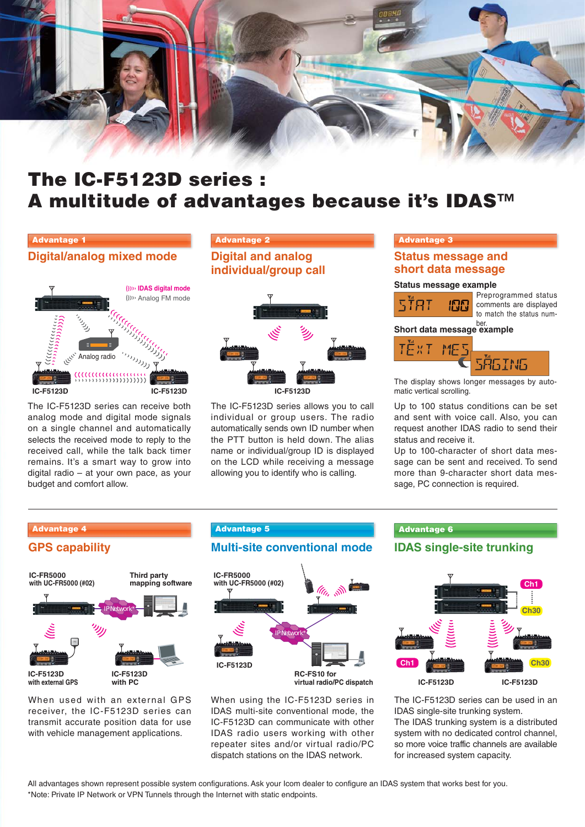

## **The IC-F5123D series : A multitude of advantages because it's IDAS™**

#### **Advantage 1**

#### **Digital/analog mixed mode Digital and analog**



The IC-F5123D series can receive both analog mode and digital mode signals on a single channel and automatically selects the received mode to reply to the received call, while the talk back timer remains. It's a smart way to grow into digital radio – at your own pace, as your budget and comfort allow.

## **Advantage 2 Advantage 3**

**individual/group call**



The IC-F5123D series allows you to call individual or group users. The radio automatically sends own ID number when the PTT button is held down. The alias name or individual/group ID is displayed on the LCD while receiving a message allowing you to identify who is calling.

#### **Status message and short data message**

#### **Status message example**

Preprogrammed status comments are displayed to match the status num-

## **Short data message example**



The display shows longer messages by automatic vertical scrolling.

Up to 100 status conditions can be set and sent with voice call. Also, you can request another IDAS radio to send their status and receive it.

Up to 100-character of short data message can be sent and received. To send more than 9-character short data message, PC connection is required.



When used with an external GPS receiver, the IC-F5123D series can transmit accurate position data for use with vehicle management applications.

#### **Advantage 4 Advantage 5**

## **GPS capability Multi-site conventional mode IDAS single-site trunking**



**virtual radio/PC dispatch**

When using the IC-F5123D series in IDAS multi-site conventional mode, the IC-F5123D can communicate with other IDAS radio users working with other repeater sites and/or virtual radio/PC dispatch stations on the IDAS network.

#### **Advantage 6**



The IC-F5123D series can be used in an IDAS single-site trunking system.

The IDAS trunking system is a distributed system with no dedicated control channel, so more voice traffic channels are available for increased system capacity.

All advantages shown represent possible system configurations. Ask your Icom dealer to configure an IDAS system that works best for you. \*Note: Private IP Network or VPN Tunnels through the Internet with static endpoints.